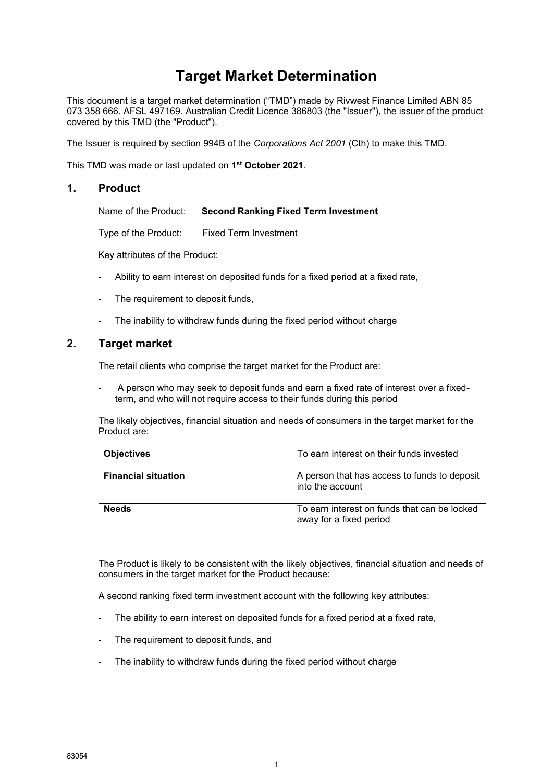# **Target Market Determination**

This document is a target market determination ("TMD") made by Rivwest Finance Limited ABN 85 073 358 666. AFSL 497169. Australian Credit Licence 386803 (the "Issuer"), the issuer of the product covered by this TMD (the "Product").

The Issuer is required by section 994B of the *Corporations Act 2001* (Cth) to make this TMD.

This TMD was made or last updated on **1 st October 2021**.

#### **1. Product**

Name of the Product: **Second Ranking Fixed Term Investment**

Type of the Product: Fixed Term Investment

Key attributes of the Product:

- Ability to earn interest on deposited funds for a fixed period at a fixed rate,
- The requirement to deposit funds,
- The inability to withdraw funds during the fixed period without charge

# **2. Target market**

The retail clients who comprise the target market for the Product are:

A person who may seek to deposit funds and earn a fixed rate of interest over a fixedterm, and who will not require access to their funds during this period

The likely objectives, financial situation and needs of consumers in the target market for the Product are:

| <b>Objectives</b>          | To earn interest on their funds invested                                |
|----------------------------|-------------------------------------------------------------------------|
| <b>Financial situation</b> | A person that has access to funds to deposit<br>into the account        |
| <b>Needs</b>               | To earn interest on funds that can be locked<br>away for a fixed period |

The Product is likely to be consistent with the likely objectives, financial situation and needs of consumers in the target market for the Product because:

A second ranking fixed term investment account with the following key attributes:

- The ability to earn interest on deposited funds for a fixed period at a fixed rate,
- The requirement to deposit funds, and
- The inability to withdraw funds during the fixed period without charge